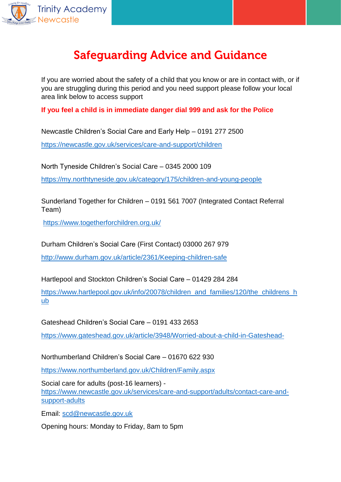

## **Safeguarding Advice and Guidance**

If you are worried about the safety of a child that you know or are in contact with, or if you are struggling during this period and you need support please follow your local area link below to access support

**If you feel a child is in immediate danger dial 999 and ask for the Police**

Newcastle Children's Social Care and Early Help – 0191 277 2500

<https://newcastle.gov.uk/services/care-and-support/children>

North Tyneside Children's Social Care – 0345 2000 109

<https://my.northtyneside.gov.uk/category/175/children-and-young-people>

Sunderland Together for Children – 0191 561 7007 (Integrated Contact Referral Team)

<https://www.togetherforchildren.org.uk/>

Durham Children's Social Care (First Contact) 03000 267 979

<http://www.durham.gov.uk/article/2361/Keeping-children-safe>

Hartlepool and Stockton Children's Social Care – 01429 284 284

[https://www.hartlepool.gov.uk/info/20078/children\\_and\\_families/120/the\\_childrens\\_h](https://www.hartlepool.gov.uk/info/20078/children_and_families/120/the_childrens_hub) [ub](https://www.hartlepool.gov.uk/info/20078/children_and_families/120/the_childrens_hub)

Gateshead Children's Social Care – 0191 433 2653

<https://www.gateshead.gov.uk/article/3948/Worried-about-a-child-in-Gateshead->

Northumberland Children's Social Care – 01670 622 930

<https://www.northumberland.gov.uk/Children/Family.aspx>

Social care for adults (post-16 learners) [https://www.newcastle.gov.uk/services/care-and-support/adults/contact-care-and](https://www.newcastle.gov.uk/services/care-and-support/adults/contact-care-and-support-adults)[support-adults](https://www.newcastle.gov.uk/services/care-and-support/adults/contact-care-and-support-adults)

Email: [scd@newcastle.gov.uk](mailto:scd@newcastle.gov.uk)

Opening hours: Monday to Friday, 8am to 5pm